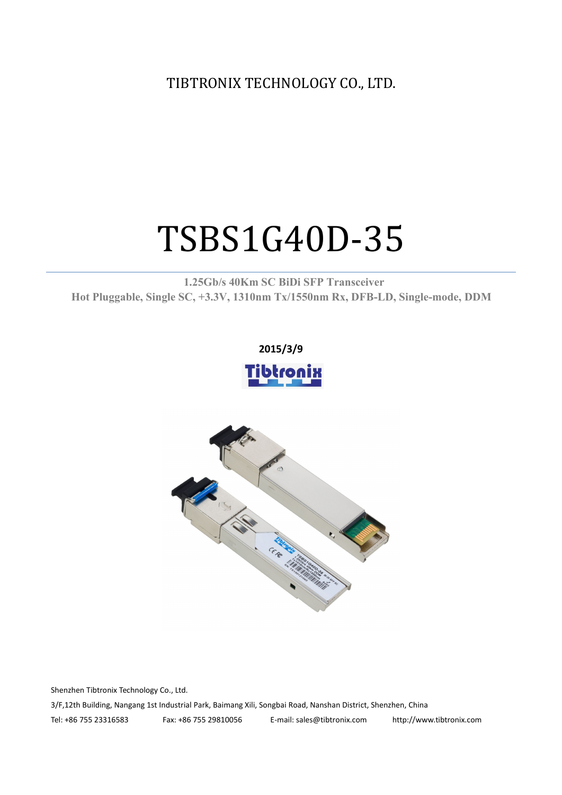TIBTRONIX TECHNOLOGY CO., LTD.

# TSBS1G40D-35

**1.25Gb/s 40Km SC BiDi SFP Transceiver Hot Pluggable, Single SC, +3.3V, 1310nm Tx/1550nm Rx, DFB-LD,Single-mode, DDM**





Shenzhen Tibtronix Technology Co., Ltd. 3/F,12th Building, Nangang 1st Industrial Park, Baimang Xili, Songbai Road, Nanshan District, Shenzhen, China

Tel: +86 755 23316583 Fax: +86 755 29810056 E-mail: sales@tibtronix.com http://www.tibtronix.com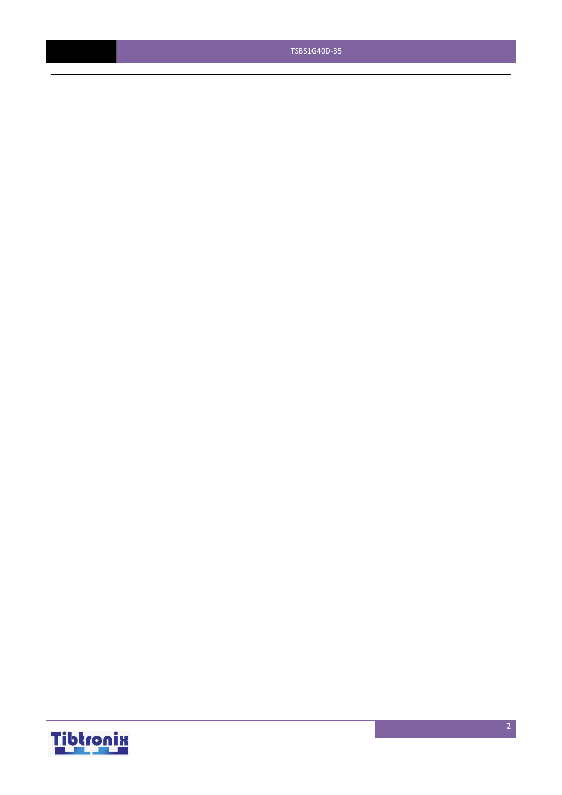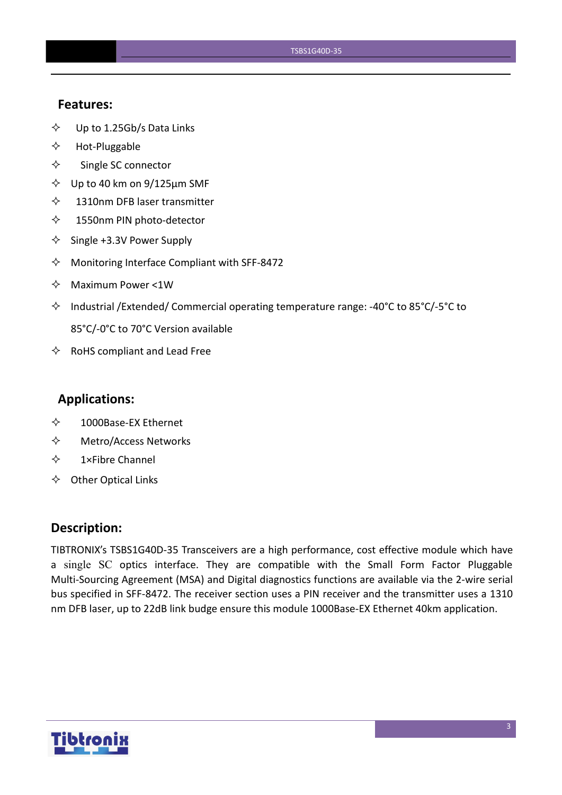#### **Features:**

- $\diamond$  Up to 1.25Gb/s Data Links
- $\Leftrightarrow$  Hot-Pluggable
- $\Leftrightarrow$  Single SC connector
- $\diamond$  Up to 40 km on 9/125 µm SMF
- $\diamond$  1310nm DFB laser transmitter
- $\diamond$  1550nm PIN photo-detector
- $\diamond$  Single +3.3V Power Supply
- $\Diamond$  Monitoring Interface Compliant with SFF-8472
- $\Leftrightarrow$  Maximum Power <1W
- $\Diamond$  Industrial /Extended/ Commercial operating temperature range: -40°C to 85°C/-5°C to 85°C/-0°C to 70°C Version available
- $\Leftrightarrow$  RoHS compliant and Lead Free

#### **Applications:**

- 1000Base-EX Ethernet
- Metro/Access Networks
- $\diamond$  1×Fibre Channel
- $\Leftrightarrow$  Other Optical Links

#### **Description:**

TIBTRONIX's TSBS1G40D-35 Transceivers are a high performance, cost effective module which have a single SC optics interface. They are compatible with the Small Form Factor Pluggable Multi-Sourcing Agreement (MSA) and Digital diagnostics functions are available via the 2-wire serial bus specified in SFF-8472. The receiver section uses a PIN receiver and the transmitter uses a 1310 nm DFB laser, up to 22dB link budge ensure this module 1000Base-EX Ethernet 40km application.

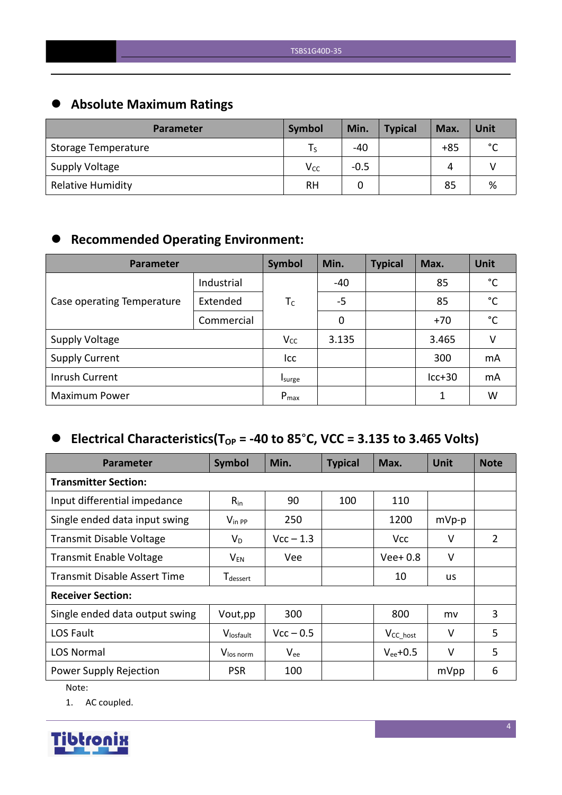# **Absolute Maximum Ratings**

| <b>Parameter</b>         | Symbol   | Min.   | <b>Typical</b> | Max.  | Unit        |
|--------------------------|----------|--------|----------------|-------|-------------|
| Storage Temperature      | l S      | -40    |                | $+85$ | $\sim$<br>◡ |
| Supply Voltage           | $V_{CC}$ | $-0.5$ |                | 4     |             |
| <b>Relative Humidity</b> | RH       |        |                | 85    | %           |

# **Recommended Operating Environment:**

| <b>Parameter</b>           | Symbol     | Min.      | <b>Typical</b> | Max. | Unit     |              |
|----------------------------|------------|-----------|----------------|------|----------|--------------|
|                            | Industrial |           | $-40$          |      | 85       | $^{\circ}$ C |
| Case operating Temperature | Extended   | $T_c$     | $-5$           |      | 85       | $^{\circ}$ C |
|                            | Commercial |           | 0              |      | $+70$    | $^{\circ}$ C |
| <b>Supply Voltage</b>      |            | $V_{CC}$  | 3.135          |      | 3.465    | V            |
| <b>Supply Current</b>      |            | Icc       |                |      | 300      | mA           |
| Inrush Current             |            | Isurge    |                |      | $lcc+30$ | mA           |
| <b>Maximum Power</b>       |            | $P_{max}$ |                |      | 1        | W            |

## $\bullet$  Electrical Characteristics(T<sub>OP</sub> = -40 to 85°C, VCC = 3.135 to 3.465 Volts)

| <b>Parameter</b>                    | Symbol                      | Min.        | <b>Typical</b> | Max.           | <b>Unit</b> | <b>Note</b> |
|-------------------------------------|-----------------------------|-------------|----------------|----------------|-------------|-------------|
| <b>Transmitter Section:</b>         |                             |             |                |                |             |             |
| Input differential impedance        | $R_{in}$                    | 90          | 100            | 110            |             |             |
| Single ended data input swing       | $V_{\text{in PP}}$          | 250         |                | 1200           | $mVp-p$     |             |
| <b>Transmit Disable Voltage</b>     | $V_D$                       | $Vcc - 1.3$ |                | <b>Vcc</b>     | V           | 2           |
| <b>Transmit Enable Voltage</b>      | $V_{EN}$                    | Vee         |                | $Vee+0.8$      | $\vee$      |             |
| <b>Transmit Disable Assert Time</b> | <b>T</b> <sub>dessert</sub> |             |                | 10             | us          |             |
| <b>Receiver Section:</b>            |                             |             |                |                |             |             |
| Single ended data output swing      | Vout, pp                    | 300         |                | 800            | mv          | 3           |
| LOS Fault                           | Vlosfault                   | $Vcc - 0.5$ |                | $V_{CC\_host}$ | $\vee$      | 5           |
| <b>LOS Normal</b>                   | $V_{\text{los norm}}$       | $V_{ee}$    |                | $V_{ee}$ +0.5  | $\vee$      | 5           |
| Power Supply Rejection              | <b>PSR</b>                  | 100         |                |                | mVpp        | 6           |

Note:

1. AC coupled.

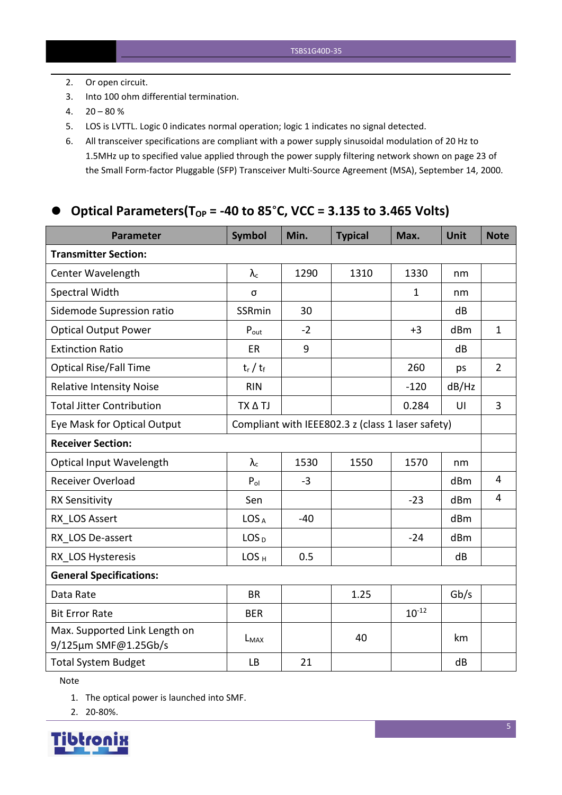- 2. Or open circuit.
- 3. Into 100 ohm differential termination.
- $4. \quad 20 80 \%$
- 5. LOS is LVTTL. Logic 0 indicates normal operation; logic 1 indicates no signal detected.
- 6. All transceiver specifications are compliant with a power supply sinusoidal modulation of 20 Hz to 1.5MHz up to specified value applied through the powersupply filtering network shown on page 23 of the Small Form-factor Pluggable (SFP) Transceiver Multi-Source Agreement (MSA), September 14, 2000.

#### **Optical Parameters(T<sub>OP</sub>** = -40 to 85°C, VCC = 3.135 to 3.465 Volts)

| <b>Parameter</b>                                      | <b>Symbol</b>     | Min.  | <b>Typical</b>                                    | Max.         | <b>Unit</b> | <b>Note</b>    |
|-------------------------------------------------------|-------------------|-------|---------------------------------------------------|--------------|-------------|----------------|
| <b>Transmitter Section:</b>                           |                   |       |                                                   |              |             |                |
| Center Wavelength                                     | $\lambda_{\rm c}$ | 1290  | 1310                                              | 1330         | nm          |                |
| Spectral Width                                        | σ                 |       |                                                   | $\mathbf{1}$ | nm          |                |
| Sidemode Supression ratio                             | SSRmin            | 30    |                                                   |              | dB          |                |
| <b>Optical Output Power</b>                           | $P_{\text{out}}$  | $-2$  |                                                   | $+3$         | dBm         | $\mathbf{1}$   |
| <b>Extinction Ratio</b>                               | <b>ER</b>         | 9     |                                                   |              | dB          |                |
| <b>Optical Rise/Fall Time</b>                         | $t_r / t_f$       |       |                                                   | 260          | ps          | $\overline{2}$ |
| <b>Relative Intensity Noise</b>                       | <b>RIN</b>        |       |                                                   | $-120$       | dB/Hz       |                |
| <b>Total Jitter Contribution</b>                      | TX A TJ           |       |                                                   | 0.284        | UI          | $\overline{3}$ |
| Eye Mask for Optical Output                           |                   |       | Compliant with IEEE802.3 z (class 1 laser safety) |              |             |                |
| <b>Receiver Section:</b>                              |                   |       |                                                   |              |             |                |
| Optical Input Wavelength                              | $\lambda_c$       | 1530  | 1550                                              | 1570         | nm          |                |
| Receiver Overload                                     | $P_{ol}$          | $-3$  |                                                   |              | dBm         | $\overline{4}$ |
| <b>RX Sensitivity</b>                                 | Sen               |       |                                                   | $-23$        | dBm         | $\overline{4}$ |
| RX LOS Assert                                         | LOS <sub>A</sub>  | $-40$ |                                                   |              | dBm         |                |
| RX LOS De-assert                                      | LOS <sub>D</sub>  |       |                                                   | $-24$        | dBm         |                |
| RX LOS Hysteresis                                     | LOS <sub>H</sub>  | 0.5   |                                                   |              | dB          |                |
| <b>General Specifications:</b>                        |                   |       |                                                   |              |             |                |
| Data Rate                                             | <b>BR</b>         |       | 1.25                                              |              | Gb/s        |                |
| <b>Bit Error Rate</b>                                 | <b>BER</b>        |       |                                                   | $10^{-12}$   |             |                |
| Max. Supported Link Length on<br>9/125µm SMF@1.25Gb/s | $L_{MAX}$         |       | 40                                                |              | km          |                |
| <b>Total System Budget</b>                            | <b>LB</b>         | 21    |                                                   |              | dB          |                |

Note

1. The optical power is launched into SMF.

2. 20-80%.

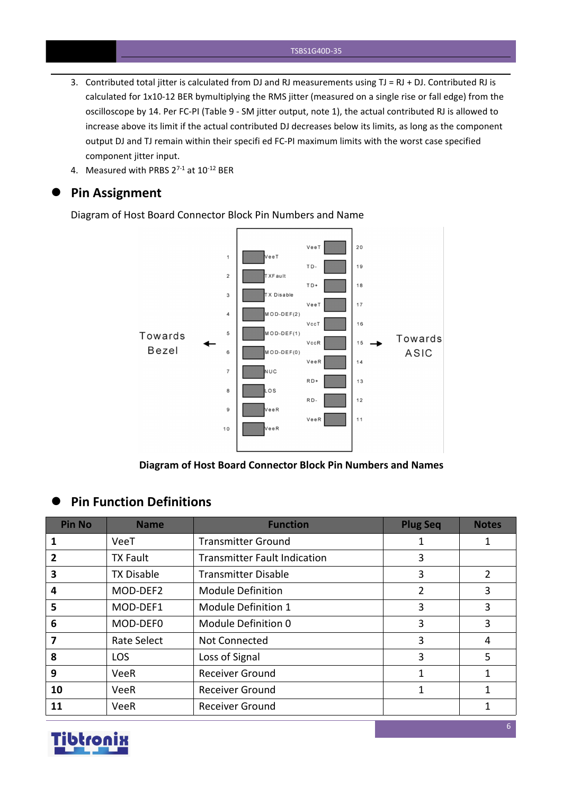- 3. Contributed total jitter is calculated from DJ and RJ measurements using  $TJ = RJ + DJ$ . Contributed RJ is calculated for 1x10-12 BER bymultiplying the RMS jitter (measured on a single rise or fall edge) from the oscilloscope by 14. Per FC-PI (Table 9 - SM jitter output, note 1), the actual contributed RJ is allowed to increase above its limit if the actual contributed DJ decreases below its limits, as long as the component output DJ and TJ remain within their specifi ed FC-PI maximum limits with the worst case specified component jitter input.
- 4. Measured with PRBS  $2^{7-1}$  at  $10^{-12}$  BER

#### **Pin Assignment**

Diagram of Host Board Connector Block Pin Numbers and Name



**Diagram of Host Board Connector Block Pin Numbers and Names**

#### **Pin Function Definitions**

| <b>Pin No</b>  | <b>Name</b>        | <b>Function</b>                     | <b>Plug Seq</b> | <b>Notes</b> |
|----------------|--------------------|-------------------------------------|-----------------|--------------|
|                | VeeT               | <b>Transmitter Ground</b>           |                 |              |
| $\overline{2}$ | <b>TX Fault</b>    | <b>Transmitter Fault Indication</b> | 3               |              |
| 3              | <b>TX Disable</b>  | <b>Transmitter Disable</b>          | 3               | 2            |
| 4              | MOD-DEF2           | <b>Module Definition</b>            | $\overline{2}$  | 3            |
| 5              | MOD-DEF1           | Module Definition 1                 | 3               | 3            |
| -6             | MOD-DEF0           | Module Definition 0                 | 3               | 3            |
|                | <b>Rate Select</b> | Not Connected                       | 3               | 4            |
| 8              | <b>LOS</b>         | Loss of Signal                      | 3               | 5            |
| 9              | <b>VeeR</b>        | <b>Receiver Ground</b>              |                 |              |
| 10             | <b>VeeR</b>        | <b>Receiver Ground</b>              |                 |              |
| 11             | VeeR               | <b>Receiver Ground</b>              |                 |              |

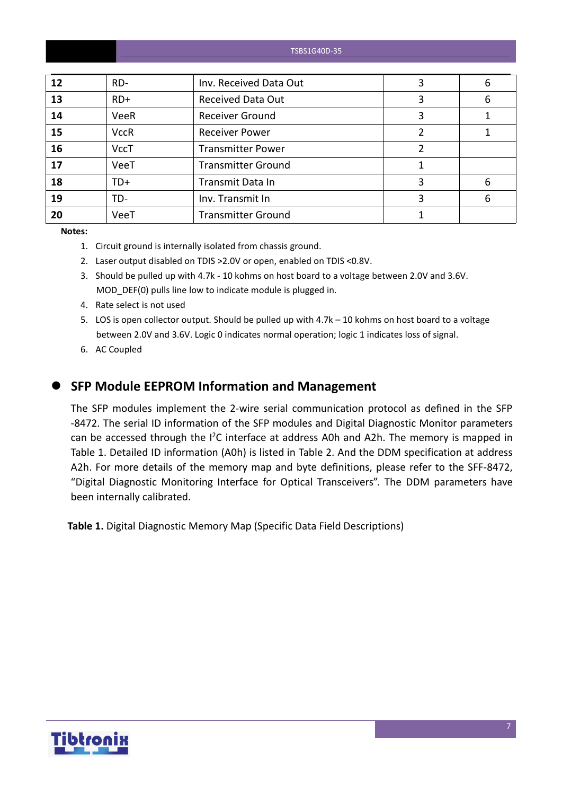|    |             | TSBS1G40D-35              |   |
|----|-------------|---------------------------|---|
|    |             |                           |   |
| 12 | $RD-$       | Inv. Received Data Out    | b |
| 13 | $RD+$       | <b>Received Data Out</b>  | 6 |
| 14 | <b>VeeR</b> | <b>Receiver Ground</b>    |   |
| 15 | <b>VccR</b> | <b>Receiver Power</b>     |   |
| 16 | <b>VccT</b> | <b>Transmitter Power</b>  |   |
| 17 | VeeT        | <b>Transmitter Ground</b> |   |
| 18 | $TD+$       | Transmit Data In          | b |

**19** TD- Inv. Transmit In 19 3 6

**Notes:**

- 1. Circuit ground is internally isolated from chassis ground.
- 2. Laser output disabled on TDIS >2.0V or open, enabled on TDIS <0.8V.

**20** VeeT Transmitter Ground 1 1

- 3. Should be pulled up with 4.7k 10 kohms on host board to a voltage between 2.0V and 3.6V. MOD\_DEF(0) pulls line low to indicate module is plugged in.
- 4. Rate select is not used
- 5. LOS is open collector output. Should be pulled up with 4.7k 10 kohms on host board to a voltage between 2.0V and 3.6V. Logic 0 indicates normal operation; logic 1 indicates loss of signal.
- 6. AC Coupled
- 

#### **SFP Module EEPROM Information and Management**

The SFP modules implement the 2-wire serial communication protocol as defined in the SFP -8472. The serial ID information of the SFP modules and Digital Diagnostic Monitor parameters can be accessed through the I<sup>2</sup>C interface at address A0h and A2h. The memory is mapped in Table 1. Detailed ID information (A0h) is listed in Table 2. And the DDM specification at address A2h. For more details of the memory map and byte definitions, please refer to the SFF-8472, "Digital Diagnostic Monitoring Interface for Optical Transceivers". The DDM parameters have been internally calibrated.

**Table 1.** Digital Diagnostic Memory Map (Specific Data Field Descriptions)

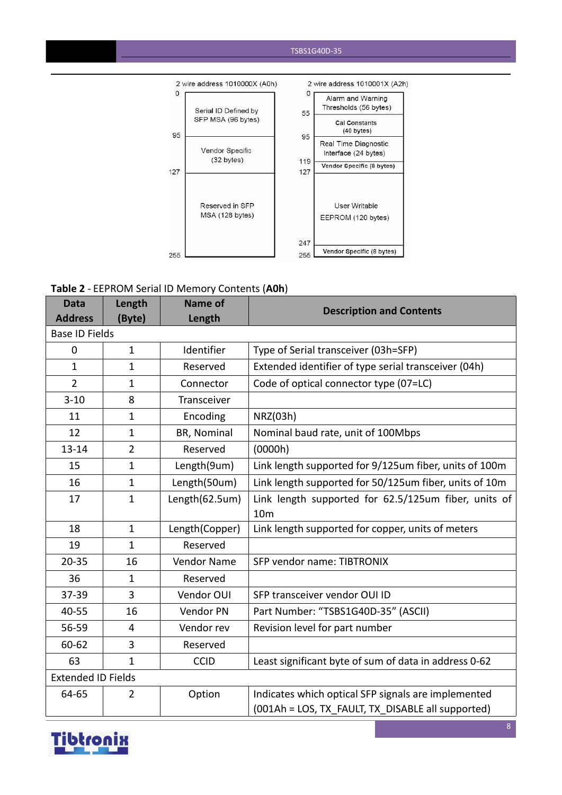

#### **Table 2** - EEPROM Serial ID Memory Contents (**A0h**)

| <b>Data</b>               | Length         | Name of        | <b>Description and Contents</b>                        |
|---------------------------|----------------|----------------|--------------------------------------------------------|
| <b>Address</b>            | (Byte)         | Length         |                                                        |
| <b>Base ID Fields</b>     |                |                |                                                        |
| 0                         | $\mathbf{1}$   | Identifier     | Type of Serial transceiver (03h=SFP)                   |
| $\mathbf{1}$              | $\mathbf{1}$   | Reserved       | Extended identifier of type serial transceiver (04h)   |
| 2                         | 1              | Connector      | Code of optical connector type (07=LC)                 |
| $3 - 10$                  | 8              | Transceiver    |                                                        |
| 11                        | $\mathbf{1}$   | Encoding       | NRZ(03h)                                               |
| 12                        | $\mathbf{1}$   | BR, Nominal    | Nominal baud rate, unit of 100Mbps                     |
| $13 - 14$                 | $\overline{2}$ | Reserved       | (0000h)                                                |
| 15                        | $\mathbf{1}$   | Length(9um)    | Link length supported for 9/125um fiber, units of 100m |
| 16                        | $\mathbf{1}$   | Length(50um)   | Link length supported for 50/125um fiber, units of 10m |
| 17                        | $\mathbf{1}$   | Length(62.5um) | Link length supported for 62.5/125um fiber, units of   |
|                           |                |                | 10 <sub>m</sub>                                        |
| 18                        | $\mathbf{1}$   | Length(Copper) | Link length supported for copper, units of meters      |
| 19                        | $\mathbf{1}$   | Reserved       |                                                        |
| $20 - 35$                 | 16             | Vendor Name    | SFP vendor name: TIBTRONIX                             |
| 36                        | $\mathbf{1}$   | Reserved       |                                                        |
| 37-39                     | 3              | Vendor OUI     | SFP transceiver vendor OUI ID                          |
| 40-55                     | 16             | Vendor PN      | Part Number: "TSBS1G40D-35" (ASCII)                    |
| 56-59                     | $\overline{4}$ | Vendor rev     | Revision level for part number                         |
| 60-62                     | 3              | Reserved       |                                                        |
| 63                        | $\mathbf{1}$   | <b>CCID</b>    | Least significant byte of sum of data in address 0-62  |
| <b>Extended ID Fields</b> |                |                |                                                        |
| 64-65                     | $\overline{2}$ | Option         | Indicates which optical SFP signals are implemented    |
|                           |                |                | (001Ah = LOS, TX FAULT, TX DISABLE all supported)      |

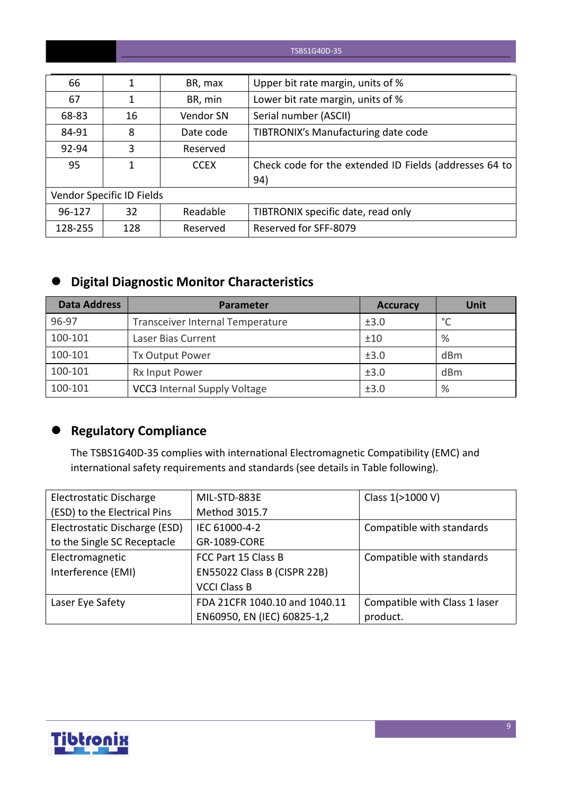| 66      |                           | BR, max     | Upper bit rate margin, units of %                      |
|---------|---------------------------|-------------|--------------------------------------------------------|
| 67      |                           | BR, min     | Lower bit rate margin, units of %                      |
| 68-83   | 16                        | Vendor SN   | Serial number (ASCII)                                  |
| 84-91   | 8                         | Date code   | TIBTRONIX's Manufacturing date code                    |
| 92-94   | 3                         | Reserved    |                                                        |
| 95      |                           | <b>CCEX</b> | Check code for the extended ID Fields (addresses 64 to |
|         |                           |             | 94)                                                    |
|         | Vendor Specific ID Fields |             |                                                        |
| 96-127  | 32                        | Readable    | TIBTRONIX specific date, read only                     |
| 128-255 | 128                       | Reserved    | Reserved for SFF-8079                                  |

## **Digital Diagnostic Monitor Characteristics**

| <b>Data Address</b> | <b>Parameter</b>                    | <b>Accuracy</b> | Unit    |
|---------------------|-------------------------------------|-----------------|---------|
| 96-97               | Transceiver Internal Temperature    | ±3.0            | $\circ$ |
| 100-101             | Laser Bias Current                  | ±10             | %       |
| 100-101             | <b>Tx Output Power</b>              | ±3.0            | dBm     |
| 100-101             | Rx Input Power                      | ±3.0            | dBm     |
| 100-101             | <b>VCC3</b> Internal Supply Voltage | ±3.0            | %       |

## **Regulatory Compliance**

The TSBS1G40D-35 complies with international Electromagnetic Compatibility (EMC) and international safety requirements and standards (see details in Table following).

| Electrostatic Discharge       | MIL-STD-883E                  | Class 1(>1000 V)              |
|-------------------------------|-------------------------------|-------------------------------|
| (ESD) to the Electrical Pins  | Method 3015.7                 |                               |
| Electrostatic Discharge (ESD) | IEC 61000-4-2                 | Compatible with standards     |
| to the Single SC Receptacle   | GR-1089-CORE                  |                               |
| Electromagnetic               | FCC Part 15 Class B           | Compatible with standards     |
| Interference (EMI)            | EN55022 Class B (CISPR 22B)   |                               |
|                               | <b>VCCI Class B</b>           |                               |
| Laser Eye Safety              | FDA 21CFR 1040.10 and 1040.11 | Compatible with Class 1 laser |
|                               | EN60950, EN (IEC) 60825-1,2   | product.                      |

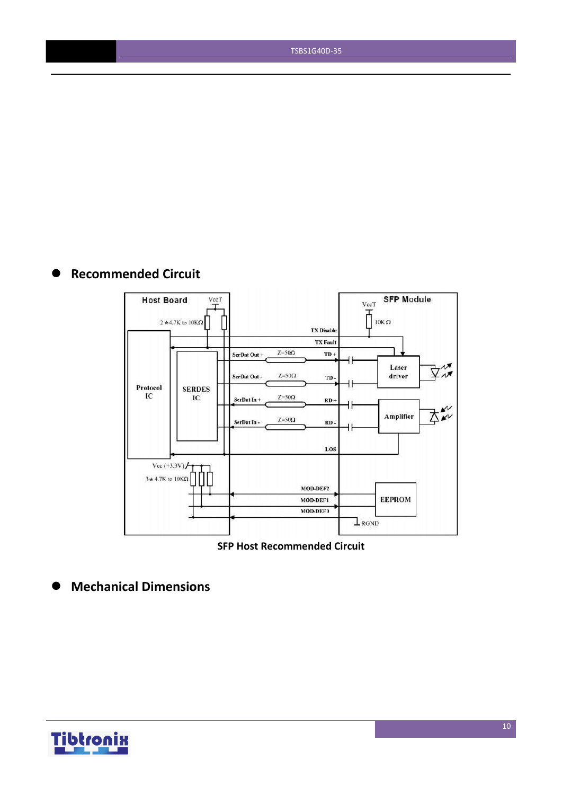## **Recommended Circuit**



**SFP Host Recommended Circuit**

**Mechanical Dimensions**